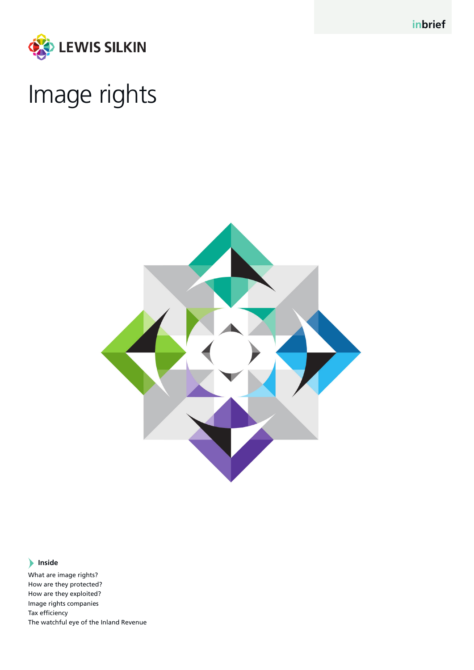



# Image rights



## **Inside**

What are image rights? How are they protected? How are they exploited? Image rights companies Tax efficiency The watchful eye of the Inland Revenue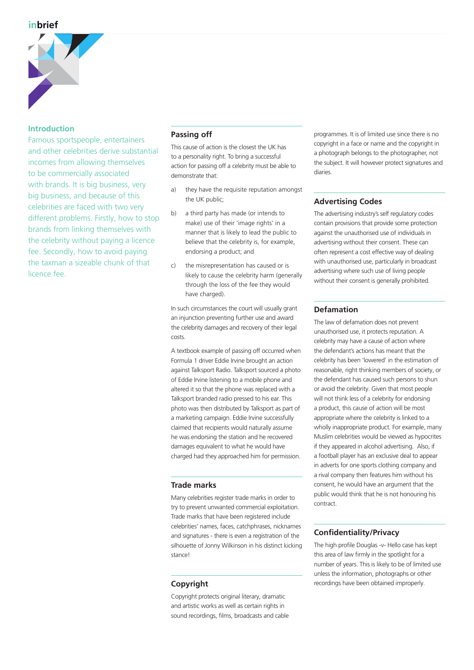

## **Introduction**

Famous sportspeople, entertainers and other celebrities derive substantial incomes from allowing themselves to be commercially associated with brands. It is big business, very big business, and because of this celebrities are faced with two very different problems. Firstly, how to stop brands from linking themselves with the celebrity without paying a licence fee. Secondly, how to avoid paying the taxman a sizeable chunk of that licence fee.

## **Passing off**

This cause of action is the closest the UK has to a personality right. To bring a successful action for passing off a celebrity must be able to demonstrate that:

- a) they have the requisite reputation amongst the UK public;
- b) a third party has made (or intends to make) use of their 'image rights' in a manner that is likely to lead the public to believe that the celebrity is, for example, endorsing a product; and
- c) the misrepresentation has caused or is likely to cause the celebrity harm (generally through the loss of the fee they would have charged).

In such circumstances the court will usually grant an injunction preventing further use and award the celebrity damages and recovery of their legal costs.

A textbook example of passing off occurred when Formula 1 driver Eddie Irvine brought an action against Talksport Radio. Talksport sourced a photo of Eddie Irvine listening to a mobile phone and altered it so that the phone was replaced with a Talksport branded radio pressed to his ear. This photo was then distributed by Talksport as part of a marketing campaign. Eddie Irvine successfully claimed that recipients would naturally assume he was endorsing the station and he recovered damages equivalent to what he would have charged had they approached him for permission.

#### **Trade marks**

Many celebrities register trade marks in order to try to prevent unwanted commercial exploitation. Trade marks that have been registered include celebrities' names, faces, catchphrases, nicknames and signatures - there is even a registration of the silhouette of Jonny Wilkinson in his distinct kicking stance!

## **Copyright**

Copyright protects original literary, dramatic and artistic works as well as certain rights in sound recordings, films, broadcasts and cable

programmes. It is of limited use since there is no copyright in a face or name and the copyright in a photograph belongs to the photographer, not the subject. It will however protect signatures and diaries.

## **Advertising Codes**

The advertising industry's self regulatory codes contain provisions that provide some protection against the unauthorised use of individuals in advertising without their consent. These can often represent a cost effective way of dealing with unauthorised use, particularly in broadcast advertising where such use of living people without their consent is generally prohibited.

## **Defamation**

The law of defamation does not prevent unauthorised use, it protects reputation. A celebrity may have a cause of action where the defendant's actions has meant that the celebrity has been 'lowered' in the estimation of reasonable, right thinking members of society, or the defendant has caused such persons to shun or avoid the celebrity. Given that most people will not think less of a celebrity for endorsing a product, this cause of action will be most appropriate where the celebrity is linked to a wholly inappropriate product. For example, many Muslim celebrities would be viewed as hypocrites if they appeared in alcohol advertising. Also, if a football player has an exclusive deal to appear in adverts for one sports clothing company and a rival company then features him without his consent, he would have an argument that the public would think that he is not honouring his contract.

## **Confidentiality/Privacy**

The high profile Douglas -v- Hello case has kept this area of law firmly in the spotlight for a number of years. This is likely to be of limited use unless the information, photographs or other recordings have been obtained improperly.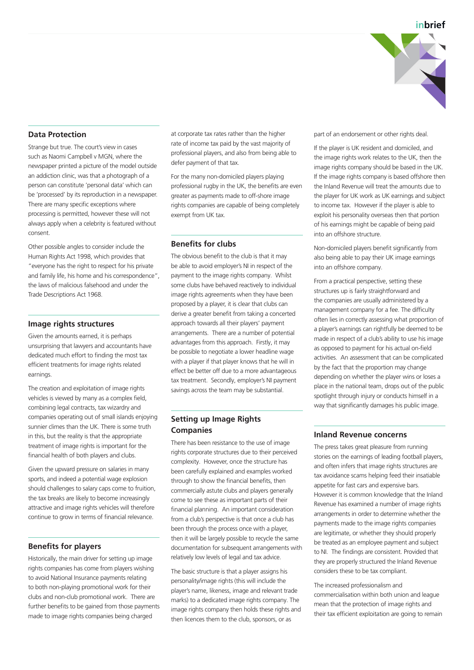

## **Data Protection**

Strange but true. The court's view in cases such as Naomi Campbell v MGN, where the newspaper printed a picture of the model outside an addiction clinic, was that a photograph of a person can constitute 'personal data' which can be 'processed' by its reproduction in a newspaper. There are many specific exceptions where processing is permitted, however these will not always apply when a celebrity is featured without consent.

Other possible angles to consider include the Human Rights Act 1998, which provides that "everyone has the right to respect for his private and family life, his home and his correspondence", the laws of malicious falsehood and under the Trade Descriptions Act 1968.

#### **Image rights structures**

Given the amounts earned, it is perhaps unsurprising that lawyers and accountants have dedicated much effort to finding the most tax efficient treatments for image rights related earnings.

The creation and exploitation of image rights vehicles is viewed by many as a complex field, combining legal contracts, tax wizardry and companies operating out of small islands enjoying sunnier climes than the UK. There is some truth in this, but the reality is that the appropriate treatment of image rights is important for the financial health of both players and clubs.

Given the upward pressure on salaries in many sports, and indeed a potential wage explosion should challenges to salary caps come to fruition, the tax breaks are likely to become increasingly attractive and image rights vehicles will therefore continue to grow in terms of financial relevance.

#### **Benefits for players**

Historically, the main driver for setting up image rights companies has come from players wishing to avoid National Insurance payments relating to both non-playing promotional work for their clubs and non-club promotional work. There are further benefits to be gained from those payments made to image rights companies being charged

at corporate tax rates rather than the higher rate of income tax paid by the vast majority of professional players, and also from being able to defer payment of that tax.

For the many non-domiciled players playing professional rugby in the UK, the benefits are even greater as payments made to off-shore image rights companies are capable of being completely exempt from UK tax.

#### **Benefits for clubs**

The obvious benefit to the club is that it may be able to avoid employer's NI in respect of the payment to the image rights company. Whilst some clubs have behaved reactively to individual image rights agreements when they have been proposed by a player, it is clear that clubs can derive a greater benefit from taking a concerted approach towards all their players' payment arrangements. There are a number of potential advantages from this approach. Firstly, it may be possible to negotiate a lower headline wage with a player if that player knows that he will in effect be better off due to a more advantageous tax treatment. Secondly, employer's NI payment savings across the team may be substantial.

## **Setting up Image Rights Companies**

There has been resistance to the use of image rights corporate structures due to their perceived complexity. However, once the structure has been carefully explained and examples worked through to show the financial benefits, then commercially astute clubs and players generally come to see these as important parts of their financial planning. An important consideration from a club's perspective is that once a club has been through the process once with a player, then it will be largely possible to recycle the same documentation for subsequent arrangements with relatively low levels of legal and tax advice.

The basic structure is that a player assigns his personality/image rights (this will include the player's name, likeness, image and relevant trade marks) to a dedicated image rights company. The image rights company then holds these rights and then licences them to the club, sponsors, or as

part of an endorsement or other rights deal.

If the player is UK resident and domiciled, and the image rights work relates to the UK, then the image rights company should be based in the UK. If the image rights company is based offshore then the Inland Revenue will treat the amounts due to the player for UK work as UK earnings and subject to income tax. However if the player is able to exploit his personality overseas then that portion of his earnings might be capable of being paid into an offshore structure.

Non-domiciled players benefit significantly from also being able to pay their UK image earnings into an offshore company.

From a practical perspective, setting these structures up is fairly straightforward and the companies are usually administered by a management company for a fee. The difficulty often lies in correctly assessing what proportion of a player's earnings can rightfully be deemed to be made in respect of a club's ability to use his image as opposed to payment for his actual on-field activities. An assessment that can be complicated by the fact that the proportion may change depending on whether the player wins or loses a place in the national team, drops out of the public spotlight through injury or conducts himself in a way that significantly damages his public image.

#### **Inland Revenue concerns**

The press takes great pleasure from running stories on the earnings of leading football players, and often infers that image rights structures are tax avoidance scams helping feed their insatiable appetite for fast cars and expensive bars. However it is common knowledge that the Inland Revenue has examined a number of image rights arrangements in order to determine whether the payments made to the image rights companies are legitimate, or whether they should properly be treated as an employee payment and subject to NI. The findings are consistent. Provided that they are properly structured the Inland Revenue considers these to be tax compliant.

The increased professionalism and commercialisation within both union and league mean that the protection of image rights and their tax efficient exploitation are going to remain